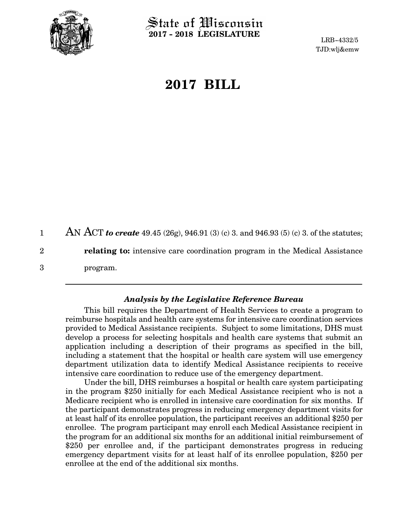

State of Wisconsin **2017 - 2018 LEGISLATURE**

LRB-4332/5 TJD:wlj&emw

## **2017 BILL**

AN ACT *to create* 49.45 (26g), 946.91 (3) (c) 3. and 946.93 (5) (c) 3. of the statutes; **relating to:** intensive care coordination program in the Medical Assistance program. 1 2 3

## *Analysis by the Legislative Reference Bureau*

This bill requires the Department of Health Services to create a program to reimburse hospitals and health care systems for intensive care coordination services provided to Medical Assistance recipients. Subject to some limitations, DHS must develop a process for selecting hospitals and health care systems that submit an application including a description of their programs as specified in the bill, including a statement that the hospital or health care system will use emergency department utilization data to identify Medical Assistance recipients to receive intensive care coordination to reduce use of the emergency department.

Under the bill, DHS reimburses a hospital or health care system participating in the program \$250 initially for each Medical Assistance recipient who is not a Medicare recipient who is enrolled in intensive care coordination for six months. If the participant demonstrates progress in reducing emergency department visits for at least half of its enrollee population, the participant receives an additional \$250 per enrollee. The program participant may enroll each Medical Assistance recipient in the program for an additional six months for an additional initial reimbursement of \$250 per enrollee and, if the participant demonstrates progress in reducing emergency department visits for at least half of its enrollee population, \$250 per enrollee at the end of the additional six months.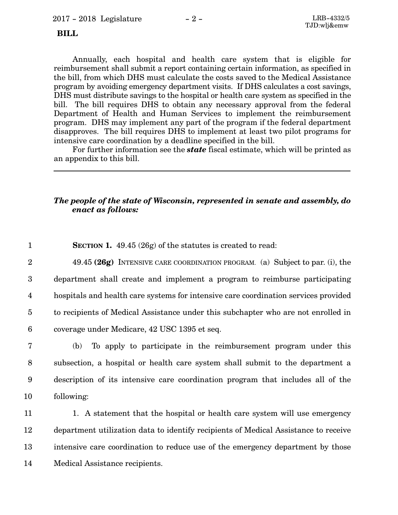## **BILL**

Annually, each hospital and health care system that is eligible for reimbursement shall submit a report containing certain information, as specified in the bill, from which DHS must calculate the costs saved to the Medical Assistance program by avoiding emergency department visits. If DHS calculates a cost savings, DHS must distribute savings to the hospital or health care system as specified in the bill. The bill requires DHS to obtain any necessary approval from the federal Department of Health and Human Services to implement the reimbursement program. DHS may implement any part of the program if the federal department disapproves. The bill requires DHS to implement at least two pilot programs for intensive care coordination by a deadline specified in the bill.

For further information see the *state* fiscal estimate, which will be printed as an appendix to this bill.

## *The people of the state of Wisconsin, represented in senate and assembly, do enact as follows:*

**SECTION 1.** 49.45 (26g) of the statutes is created to read: 1

49.45 **(26g)** INTENSIVE CARE COORDINATION PROGRAM. (a) Subject to par. (i), the department shall create and implement a program to reimburse participating hospitals and health care systems for intensive care coordination services provided to recipients of Medical Assistance under this subchapter who are not enrolled in coverage under Medicare, 42 USC 1395 et seq. 2 3 4 5 6

(b) To apply to participate in the reimbursement program under this subsection, a hospital or health care system shall submit to the department a description of its intensive care coordination program that includes all of the following: 7 8 9 10

1. A statement that the hospital or health care system will use emergency department utilization data to identify recipients of Medical Assistance to receive intensive care coordination to reduce use of the emergency department by those Medical Assistance recipients. 11 12 13 14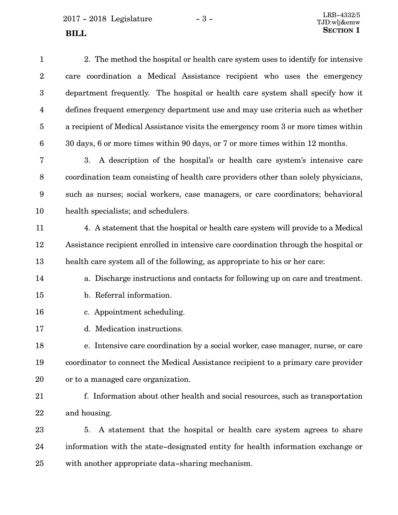2017 - 2018 Legislature - 3 -

| $\mathbf{1}$     | 2. The method the hospital or health care system uses to identify for intensive      |
|------------------|--------------------------------------------------------------------------------------|
| $\boldsymbol{2}$ | care coordination a Medical Assistance recipient who uses the emergency              |
| $\boldsymbol{3}$ | department frequently. The hospital or health care system shall specify how it       |
| 4                | defines frequent emergency department use and may use criteria such as whether       |
| $\overline{5}$   | a recipient of Medical Assistance visits the emergency room 3 or more times within   |
| $6\phantom{.}6$  | 30 days, 6 or more times within 90 days, or 7 or more times within 12 months.        |
| 7                | A description of the hospital's or health care system's intensive care<br>3.         |
| $\, 8$           | coordination team consisting of health care providers other than solely physicians,  |
| $\boldsymbol{9}$ | such as nurses; social workers, case managers, or care coordinators; behavioral      |
| 10               | health specialists; and schedulers.                                                  |
| 11               | 4. A statement that the hospital or health care system will provide to a Medical     |
| 12               | Assistance recipient enrolled in intensive care coordination through the hospital or |
| 13               | health care system all of the following, as appropriate to his or her care:          |
| 14               | a. Discharge instructions and contacts for following up on care and treatment.       |
| 15               | b. Referral information.                                                             |
| 16               | c. Appointment scheduling.                                                           |
| 17               | d. Medication instructions.                                                          |
| 18               | e. Intensive care coordination by a social worker, case manager, nurse, or care      |
| 19               | coordinator to connect the Medical Assistance recipient to a primary care provider   |
| 20               | or to a managed care organization.                                                   |
| 21               | f. Information about other health and social resources, such as transportation       |
| 22               | and housing.                                                                         |
| 23               | A statement that the hospital or health care system agrees to share<br>5.            |
| 24               | information with the state-designated entity for health information exchange or      |
| 25               | with another appropriate data-sharing mechanism.                                     |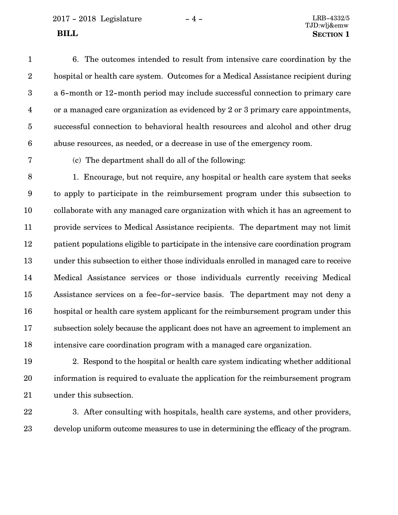2017 - 2018 Legislature - 4 - LRB-4332/5

TJD:wlj&emw **BILL** SECTION 1

6. The outcomes intended to result from intensive care coordination by the hospital or health care system. Outcomes for a Medical Assistance recipient during a 6-month or 12-month period may include successful connection to primary care or a managed care organization as evidenced by 2 or 3 primary care appointments, successful connection to behavioral health resources and alcohol and other drug abuse resources, as needed, or a decrease in use of the emergency room. 1 2 3 4 5 6

7

(c) The department shall do all of the following:

1. Encourage, but not require, any hospital or health care system that seeks to apply to participate in the reimbursement program under this subsection to collaborate with any managed care organization with which it has an agreement to provide services to Medical Assistance recipients. The department may not limit patient populations eligible to participate in the intensive care coordination program under this subsection to either those individuals enrolled in managed care to receive Medical Assistance services or those individuals currently receiving Medical Assistance services on a fee-for-service basis. The department may not deny a hospital or health care system applicant for the reimbursement program under this subsection solely because the applicant does not have an agreement to implement an intensive care coordination program with a managed care organization. 8 9 10 11 12 13 14 15 16 17 18

2. Respond to the hospital or health care system indicating whether additional information is required to evaluate the application for the reimbursement program under this subsection. 19 20 21

22 23

3. After consulting with hospitals, health care systems, and other providers, develop uniform outcome measures to use in determining the efficacy of the program.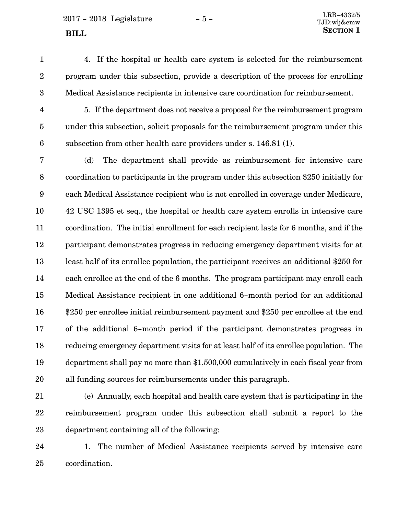$2017 - 2018$  Legislature  $-5 -$  LRB-4332/5

- 
- 4. If the hospital or health care system is selected for the reimbursement program under this subsection, provide a description of the process for enrolling Medical Assistance recipients in intensive care coordination for reimbursement. 1 2 3
- 4

5. If the department does not receive a proposal for the reimbursement program under this subsection, solicit proposals for the reimbursement program under this subsection from other health care providers under s. 146.81 (1). 5 6

(d) The department shall provide as reimbursement for intensive care coordination to participants in the program under this subsection \$250 initially for each Medical Assistance recipient who is not enrolled in coverage under Medicare, 42 USC 1395 et seq., the hospital or health care system enrolls in intensive care coordination. The initial enrollment for each recipient lasts for 6 months, and if the participant demonstrates progress in reducing emergency department visits for at least half of its enrollee population, the participant receives an additional \$250 for each enrollee at the end of the 6 months. The program participant may enroll each Medical Assistance recipient in one additional 6-month period for an additional \$250 per enrollee initial reimbursement payment and \$250 per enrollee at the end of the additional 6-month period if the participant demonstrates progress in reducing emergency department visits for at least half of its enrollee population. The department shall pay no more than \$1,500,000 cumulatively in each fiscal year from all funding sources for reimbursements under this paragraph. 7 8 9 10 11 12 13 14 15 16 17 18 19 20

21

(e) Annually, each hospital and health care system that is participating in the reimbursement program under this subsection shall submit a report to the department containing all of the following: 22 23

1. The number of Medical Assistance recipients served by intensive care coordination. 24 25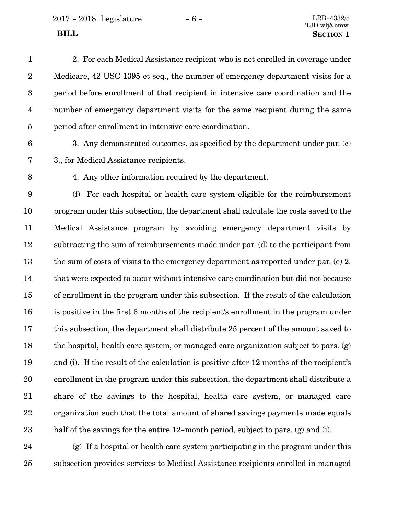2017 - 2018 Legislature - 6 - LRB-4332/5

2. For each Medical Assistance recipient who is not enrolled in coverage under Medicare, 42 USC 1395 et seq., the number of emergency department visits for a period before enrollment of that recipient in intensive care coordination and the number of emergency department visits for the same recipient during the same period after enrollment in intensive care coordination. 1 2 3 4 5

6

3. Any demonstrated outcomes, as specified by the department under par. (c) 3., for Medical Assistance recipients.

8

7

4. Any other information required by the department.

(f) For each hospital or health care system eligible for the reimbursement program under this subsection, the department shall calculate the costs saved to the Medical Assistance program by avoiding emergency department visits by subtracting the sum of reimbursements made under par. (d) to the participant from the sum of costs of visits to the emergency department as reported under par. (e) 2. that were expected to occur without intensive care coordination but did not because of enrollment in the program under this subsection. If the result of the calculation is positive in the first 6 months of the recipient's enrollment in the program under this subsection, the department shall distribute 25 percent of the amount saved to the hospital, health care system, or managed care organization subject to pars. (g) and (i). If the result of the calculation is positive after 12 months of the recipient's enrollment in the program under this subsection, the department shall distribute a share of the savings to the hospital, health care system, or managed care organization such that the total amount of shared savings payments made equals half of the savings for the entire 12-month period, subject to pars. (g) and (i). 9 10 11 12 13 14 15 16 17 18 19 20 21 22 23

(g) If a hospital or health care system participating in the program under this subsection provides services to Medical Assistance recipients enrolled in managed 24 25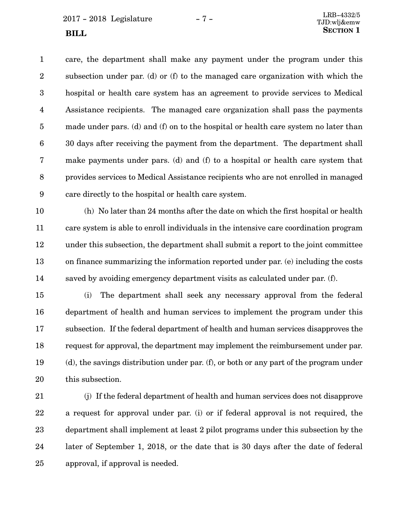$2017 - 2018$  Legislature  $-7 -$ 

care, the department shall make any payment under the program under this subsection under par. (d) or (f) to the managed care organization with which the hospital or health care system has an agreement to provide services to Medical Assistance recipients. The managed care organization shall pass the payments made under pars. (d) and (f) on to the hospital or health care system no later than 30 days after receiving the payment from the department. The department shall make payments under pars. (d) and (f) to a hospital or health care system that provides services to Medical Assistance recipients who are not enrolled in managed care directly to the hospital or health care system. 1 2 3 4 5 6 7 8 9

(h) No later than 24 months after the date on which the first hospital or health care system is able to enroll individuals in the intensive care coordination program under this subsection, the department shall submit a report to the joint committee on finance summarizing the information reported under par. (e) including the costs saved by avoiding emergency department visits as calculated under par. (f). 10 11 12 13 14

(i) The department shall seek any necessary approval from the federal department of health and human services to implement the program under this subsection. If the federal department of health and human services disapproves the request for approval, the department may implement the reimbursement under par. (d), the savings distribution under par. (f), or both or any part of the program under this subsection. 15 16 17 18 19 20

(j) If the federal department of health and human services does not disapprove a request for approval under par. (i) or if federal approval is not required, the department shall implement at least 2 pilot programs under this subsection by the later of September 1, 2018, or the date that is 30 days after the date of federal approval, if approval is needed. 21 22 23 24 25